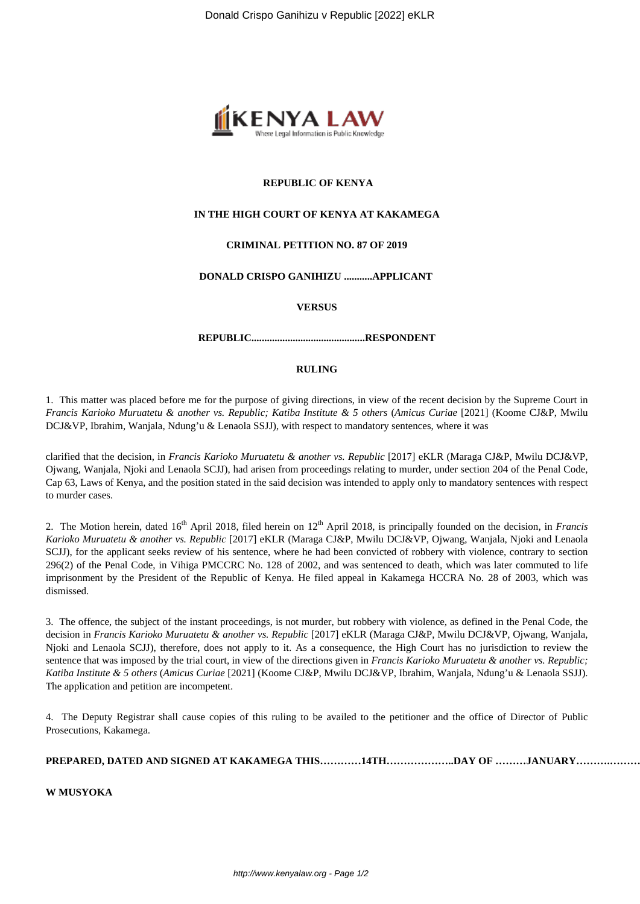

#### **REPUBLIC OF KENYA**

### **IN THE HIGH COURT OF KENYA AT KAKAMEGA**

# **CRIMINAL PETITION NO. 87 OF 2019**

# **DONALD CRISPO GANIHIZU ...........APPLICANT**

#### **VERSUS**

#### **REPUBLIC............................................RESPONDENT**

#### **RULING**

1. This matter was placed before me for the purpose of giving directions, in view of the recent decision by the Supreme Court in *Francis Karioko Muruatetu & another vs. Republic; Katiba Institute & 5 others* (*Amicus Curiae* [2021] (Koome CJ&P, Mwilu DCJ&VP, Ibrahim, Wanjala, Ndung'u & Lenaola SSJJ), with respect to mandatory sentences, where it was

clarified that the decision, in *Francis Karioko Muruatetu & another vs. Republic* [2017] eKLR (Maraga CJ&P, Mwilu DCJ&VP, Ojwang, Wanjala, Njoki and Lenaola SCJJ), had arisen from proceedings relating to murder, under section 204 of the Penal Code, Cap 63, Laws of Kenya, and the position stated in the said decision was intended to apply only to mandatory sentences with respect to murder cases.

2. The Motion herein, dated 16th April 2018, filed herein on 12th April 2018, is principally founded on the decision, in *Francis Karioko Muruatetu & another vs. Republic* [2017] eKLR (Maraga CJ&P, Mwilu DCJ&VP, Ojwang, Wanjala, Njoki and Lenaola SCJJ), for the applicant seeks review of his sentence, where he had been convicted of robbery with violence, contrary to section 296(2) of the Penal Code, in Vihiga PMCCRC No. 128 of 2002, and was sentenced to death, which was later commuted to life imprisonment by the President of the Republic of Kenya. He filed appeal in Kakamega HCCRA No. 28 of 2003, which was dismissed.

3. The offence, the subject of the instant proceedings, is not murder, but robbery with violence, as defined in the Penal Code, the decision in *Francis Karioko Muruatetu & another vs. Republic* [2017] eKLR (Maraga CJ&P, Mwilu DCJ&VP, Ojwang, Wanjala, Njoki and Lenaola SCJJ), therefore, does not apply to it. As a consequence, the High Court has no jurisdiction to review the sentence that was imposed by the trial court, in view of the directions given in *Francis Karioko Muruatetu & another vs. Republic; Katiba Institute & 5 others* (*Amicus Curiae* [2021] (Koome CJ&P, Mwilu DCJ&VP, Ibrahim, Wanjala, Ndung'u & Lenaola SSJJ). The application and petition are incompetent.

4. The Deputy Registrar shall cause copies of this ruling to be availed to the petitioner and the office of Director of Public Prosecutions, Kakamega.

**PREPARED, DATED AND SIGNED AT KAKAMEGA THIS…………14TH………………..DAY OF ………JANUARY……….……………. 2022**

**W MUSYOKA**